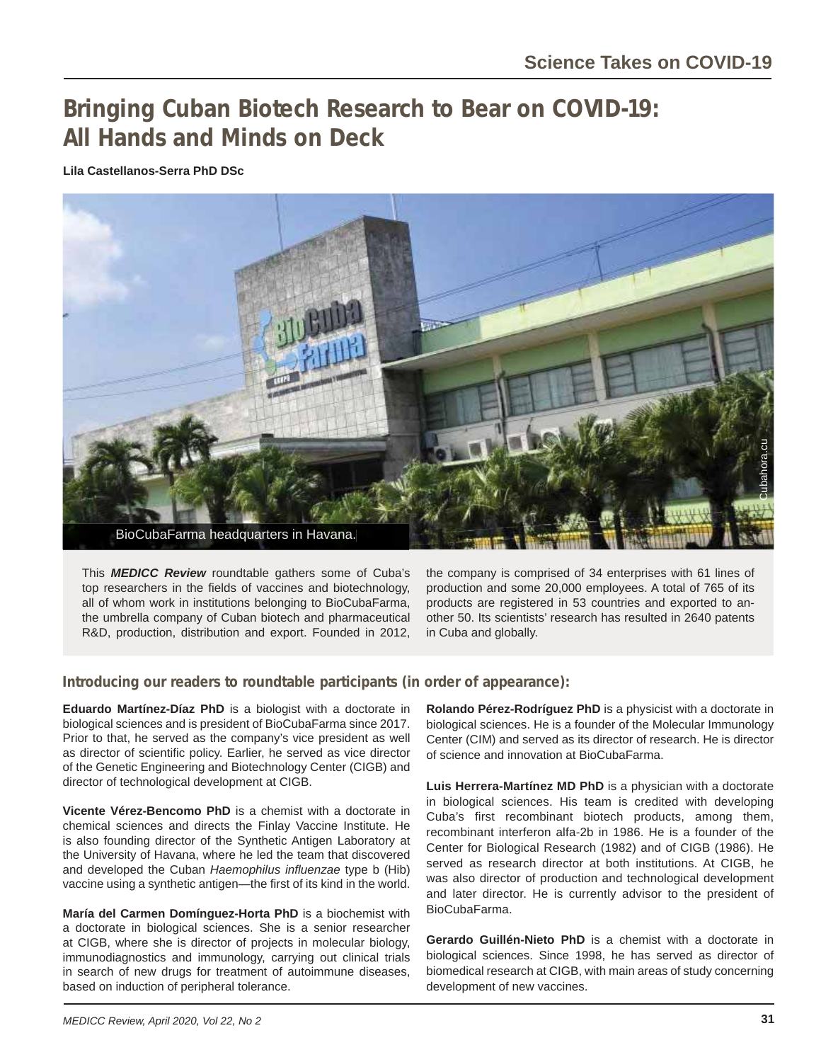# **Bringing Cuban Biotech Research to Bear on COVID-19: All Hands and Minds on Deck**

**Lila Castellanos-Serra PhD DSc**



This *MEDICC Review* roundtable gathers some of Cuba's top researchers in the fields of vaccines and biotechnology. all of whom work in institutions belonging to BioCubaFarma, the umbrella company of Cuban biotech and pharmaceutical R&D, production, distribution and export. Founded in 2012,

the company is comprised of 34 enterprises with 61 lines of production and some 20,000 employees. A total of 765 of its products are registered in 53 countries and exported to another 50. Its scientists' research has resulted in 2640 patents in Cuba and globally.

### **Introducing our readers to roundtable participants (in order of appearance):**

**Eduardo Martínez-Díaz PhD** is a biologist with a doctorate in biological sciences and is president of BioCubaFarma since 2017. Prior to that, he served as the company's vice president as well as director of scientific policy. Earlier, he served as vice director of the Genetic Engineering and Biotechnology Center (CIGB) and director of technological development at CIGB.

**Vicente Vérez-Bencomo PhD** is a chemist with a doctorate in chemical sciences and directs the Finlay Vaccine Institute. He is also founding director of the Synthetic Antigen Laboratory at the University of Havana, where he led the team that discovered and developed the Cuban *Haemophilus influenzae* type b (Hib) vaccine using a synthetic antigen—the first of its kind in the world.

**María del Carmen Domínguez-Horta PhD** is a biochemist with a doctorate in biological sciences. She is a senior researcher at CIGB, where she is director of projects in molecular biology, immunodiagnostics and immunology, carrying out clinical trials in search of new drugs for treatment of autoimmune diseases, based on induction of peripheral tolerance.

**Rolando Pérez-Rodríguez PhD** is a physicist with a doctorate in biological sciences. He is a founder of the Molecular Immunology Center (CIM) and served as its director of research. He is director of science and innovation at BioCubaFarma.

**Luis Herrera-Martínez MD PhD** is a physician with a doctorate in biological sciences. His team is credited with developing Cuba's first recombinant biotech products, among them, recombinant interferon alfa-2b in 1986. He is a founder of the Center for Biological Research (1982) and of CIGB (1986). He served as research director at both institutions. At CIGB, he was also director of production and technological development and later director. He is currently advisor to the president of BioCubaFarma.

**Gerardo Guillén-Nieto PhD** is a chemist with a doctorate in biological sciences. Since 1998, he has served as director of biomedical research at CIGB, with main areas of study concerning development of new vaccines.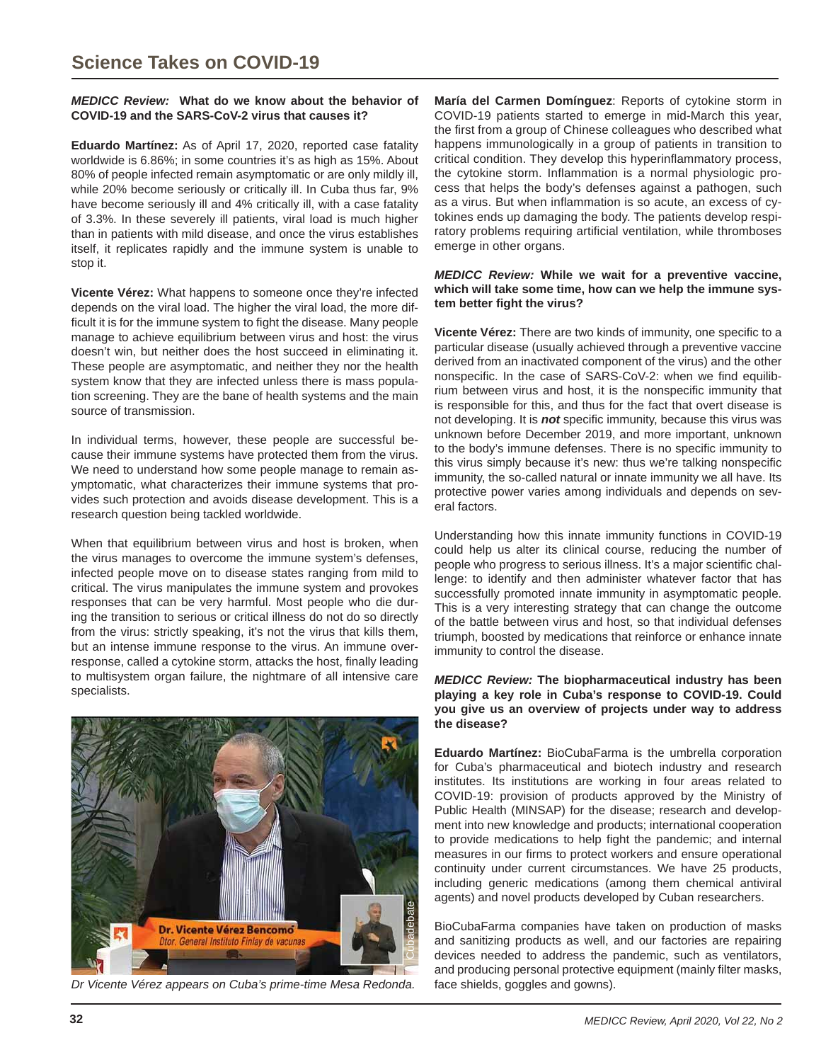#### *MEDICC Review:* **What do we know about the behavior of COVID-19 and the SARS-CoV-2 virus that causes it?**

**Eduardo Martínez:** As of April 17, 2020, reported case fatality worldwide is 6.86%; in some countries it's as high as 15%. About 80% of people infected remain asymptomatic or are only mildly ill, while 20% become seriously or critically ill. In Cuba thus far, 9% have become seriously ill and 4% critically ill, with a case fatality of 3.3%. In these severely ill patients, viral load is much higher than in patients with mild disease, and once the virus establishes itself, it replicates rapidly and the immune system is unable to stop it.

**Vicente Vérez:** What happens to someone once they're infected depends on the viral load. The higher the viral load, the more difficult it is for the immune system to fight the disease. Many people manage to achieve equilibrium between virus and host: the virus doesn't win, but neither does the host succeed in eliminating it. These people are asymptomatic, and neither they nor the health system know that they are infected unless there is mass population screening. They are the bane of health systems and the main source of transmission.

In individual terms, however, these people are successful because their immune systems have protected them from the virus. We need to understand how some people manage to remain asymptomatic, what characterizes their immune systems that provides such protection and avoids disease development. This is a research question being tackled worldwide.

When that equilibrium between virus and host is broken, when the virus manages to overcome the immune system's defenses, infected people move on to disease states ranging from mild to critical. The virus manipulates the immune system and provokes responses that can be very harmful. Most people who die during the transition to serious or critical illness do not do so directly from the virus: strictly speaking, it's not the virus that kills them, but an intense immune response to the virus. An immune overresponse, called a cytokine storm, attacks the host, finally leading to multisystem organ failure, the nightmare of all intensive care specialists.



**María del Carmen Domínguez**: Reports of cytokine storm in COVID-19 patients started to emerge in mid-March this year, the first from a group of Chinese colleagues who described what happens immunologically in a group of patients in transition to critical condition. They develop this hyperinflammatory process, the cytokine storm. Inflammation is a normal physiologic process that helps the body's defenses against a pathogen, such as a virus. But when inflammation is so acute, an excess of cytokines ends up damaging the body. The patients develop respiratory problems requiring artificial ventilation, while thromboses emerge in other organs.

#### *MEDICC Review:* **While we wait for a preventive vaccine, which will take some time, how can we help the immune system better fi ght the virus?**

**Vicente Vérez:** There are two kinds of immunity, one specific to a particular disease (usually achieved through a preventive vaccine derived from an inactivated component of the virus) and the other nonspecific. In the case of SARS-CoV-2: when we find equilibrium between virus and host, it is the nonspecific immunity that is responsible for this, and thus for the fact that overt disease is not developing. It is **not** specific immunity, because this virus was unknown before December 2019, and more important, unknown to the body's immune defenses. There is no specific immunity to this virus simply because it's new: thus we're talking nonspecific immunity, the so-called natural or innate immunity we all have. Its protective power varies among individuals and depends on several factors.

Understanding how this innate immunity functions in COVID-19 could help us alter its clinical course, reducing the number of people who progress to serious illness. It's a major scientific challenge: to identify and then administer whatever factor that has successfully promoted innate immunity in asymptomatic people. This is a very interesting strategy that can change the outcome of the battle between virus and host, so that individual defenses triumph, boosted by medications that reinforce or enhance innate immunity to control the disease.

#### *MEDICC Review:* **The biopharmaceutical industry has been playing a key role in Cuba's response to COVID-19. Could you give us an overview of projects under way to address the disease?**

**Eduardo Martínez:** BioCubaFarma is the umbrella corporation for Cuba's pharmaceutical and biotech industry and research institutes. Its institutions are working in four areas related to COVID-19: provision of products approved by the Ministry of Public Health (MINSAP) for the disease; research and development into new knowledge and products; international cooperation to provide medications to help fight the pandemic; and internal measures in our firms to protect workers and ensure operational continuity under current circumstances. We have 25 products, including generic medications (among them chemical antiviral agents) and novel products developed by Cuban researchers.

BioCubaFarma companies have taken on production of masks and sanitizing products as well, and our factories are repairing devices needed to address the pandemic, such as ventilators, and producing personal protective equipment (mainly filter masks,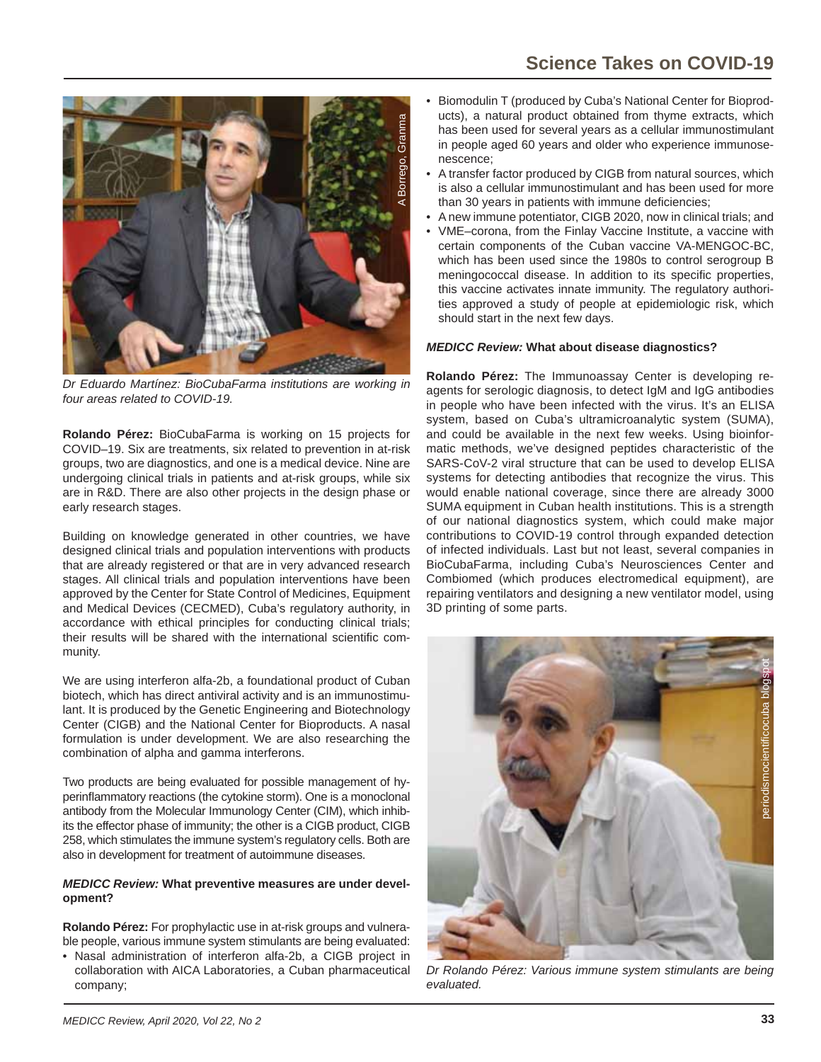

*Dr Eduardo Martínez: BioCubaFarma institutions are working in four areas related to COVID-19.*

**Rolando Pérez:** BioCubaFarma is working on 15 projects for COVID–19. Six are treatments, six related to prevention in at-risk groups, two are diagnostics, and one is a medical device. Nine are undergoing clinical trials in patients and at-risk groups, while six are in R&D. There are also other projects in the design phase or early research stages.

Building on knowledge generated in other countries, we have designed clinical trials and population interventions with products that are already registered or that are in very advanced research stages. All clinical trials and population interventions have been approved by the Center for State Control of Medicines, Equipment and Medical Devices (CECMED), Cuba's regulatory authority, in accordance with ethical principles for conducting clinical trials; their results will be shared with the international scientific community.

We are using interferon alfa-2b, a foundational product of Cuban biotech, which has direct antiviral activity and is an immunostimulant. It is produced by the Genetic Engineering and Biotechnology Center (CIGB) and the National Center for Bioproducts. A nasal formulation is under development. We are also researching the combination of alpha and gamma interferons.

Two products are being evaluated for possible management of hyperinflammatory reactions (the cytokine storm). One is a monoclonal antibody from the Molecular Immunology Center (CIM), which inhibits the effector phase of immunity; the other is a CIGB product, CIGB 258, which stimulates the immune system's regulatory cells. Both are also in development for treatment of autoimmune diseases.

#### *MEDICC Review:* **What preventive measures are under development?**

**Rolando Pérez:** For prophylactic use in at-risk groups and vulnerable people, various immune system stimulants are being evaluated:

• Nasal administration of interferon alfa-2b, a CIGB project in collaboration with AICA Laboratories, a Cuban pharmaceutical company;

- Biomodulin T (produced by Cuba's National Center for Bioproducts), a natural product obtained from thyme extracts, which has been used for several years as a cellular immunostimulant in people aged 60 years and older who experience immunosenescence;
- A transfer factor produced by CIGB from natural sources, which is also a cellular immunostimulant and has been used for more than 30 years in patients with immune deficiencies;
- A new immune potentiator, CIGB 2020, now in clinical trials; and
- VME–corona, from the Finlay Vaccine Institute, a vaccine with certain components of the Cuban vaccine VA-MENGOC-BC, which has been used since the 1980s to control serogroup B meningococcal disease. In addition to its specific properties, this vaccine activates innate immunity. The regulatory authorities approved a study of people at epidemiologic risk, which should start in the next few days.

## *MEDICC Review:* **What about disease diagnostics?**

**Rolando Pérez:** The Immunoassay Center is developing reagents for serologic diagnosis, to detect IgM and IgG antibodies in people who have been infected with the virus. It's an ELISA system, based on Cuba's ultramicroanalytic system (SUMA), and could be available in the next few weeks. Using bioinformatic methods, we've designed peptides characteristic of the SARS-CoV-2 viral structure that can be used to develop ELISA systems for detecting antibodies that recognize the virus. This would enable national coverage, since there are already 3000 SUMA equipment in Cuban health institutions. This is a strength of our national diagnostics system, which could make major contributions to COVID-19 control through expanded detection of infected individuals. Last but not least, several companies in BioCubaFarma, including Cuba's Neurosciences Center and Combiomed (which produces electromedical equipment), are repairing ventilators and designing a new ventilator model, using 3D printing of some parts.



*Dr Rolando Pérez: Various immune system stimulants are being evaluated.*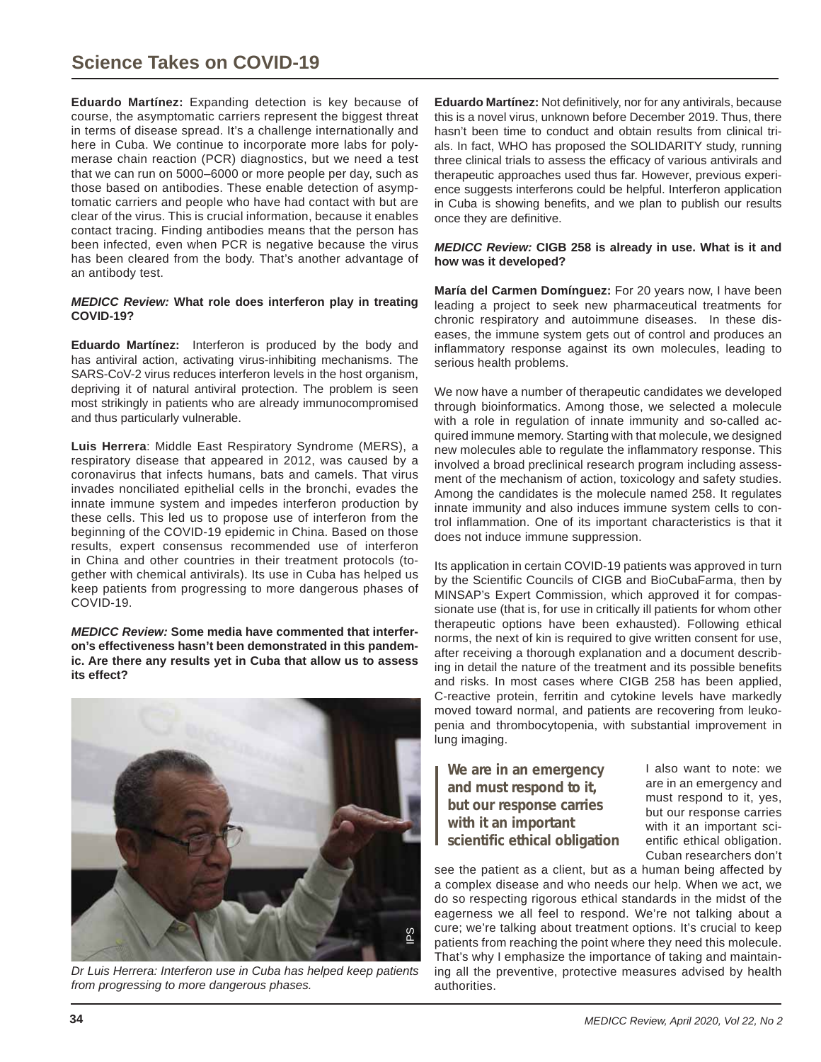**Eduardo Martínez:** Expanding detection is key because of course, the asymptomatic carriers represent the biggest threat in terms of disease spread. It's a challenge internationally and here in Cuba. We continue to incorporate more labs for polymerase chain reaction (PCR) diagnostics, but we need a test that we can run on 5000–6000 or more people per day, such as those based on antibodies. These enable detection of asymptomatic carriers and people who have had contact with but are clear of the virus. This is crucial information, because it enables contact tracing. Finding antibodies means that the person has been infected, even when PCR is negative because the virus has been cleared from the body. That's another advantage of an antibody test.

#### *MEDICC Review:* **What role does interferon play in treating COVID-19?**

**Eduardo Martínez:** Interferon is produced by the body and has antiviral action, activating virus-inhibiting mechanisms. The SARS-CoV-2 virus reduces interferon levels in the host organism, depriving it of natural antiviral protection. The problem is seen most strikingly in patients who are already immunocompromised and thus particularly vulnerable.

**Luis Herrera**: Middle East Respiratory Syndrome (MERS), a respiratory disease that appeared in 2012, was caused by a coronavirus that infects humans, bats and camels. That virus invades nonciliated epithelial cells in the bronchi, evades the innate immune system and impedes interferon production by these cells. This led us to propose use of interferon from the beginning of the COVID-19 epidemic in China. Based on those results, expert consensus recommended use of interferon in China and other countries in their treatment protocols (together with chemical antivirals). Its use in Cuba has helped us keep patients from progressing to more dangerous phases of COVID-19.

*MEDICC Review:* **Some media have commented that interferon's effectiveness hasn't been demonstrated in this pandemic. Are there any results yet in Cuba that allow us to assess its effect?**



*Dr Luis Herrera: Interferon use in Cuba has helped keep patients from progressing to more dangerous phases.*

**Eduardo Martínez:** Not definitively, nor for any antivirals, because this is a novel virus, unknown before December 2019. Thus, there hasn't been time to conduct and obtain results from clinical trials. In fact, WHO has proposed the SOLIDARITY study, running three clinical trials to assess the efficacy of various antivirals and therapeutic approaches used thus far. However, previous experience suggests interferons could be helpful. Interferon application in Cuba is showing benefits, and we plan to publish our results once they are definitive.

#### *MEDICC Review:* **CIGB 258 is already in use. What is it and how was it developed?**

**María del Carmen Domínguez:** For 20 years now, I have been leading a project to seek new pharmaceutical treatments for chronic respiratory and autoimmune diseases. In these diseases, the immune system gets out of control and produces an inflammatory response against its own molecules, leading to serious health problems.

We now have a number of therapeutic candidates we developed through bioinformatics. Among those, we selected a molecule with a role in regulation of innate immunity and so-called acquired immune memory. Starting with that molecule, we designed new molecules able to regulate the inflammatory response. This involved a broad preclinical research program including assessment of the mechanism of action, toxicology and safety studies. Among the candidates is the molecule named 258. It regulates innate immunity and also induces immune system cells to control inflammation. One of its important characteristics is that it does not induce immune suppression.

Its application in certain COVID-19 patients was approved in turn by the Scientific Councils of CIGB and BioCubaFarma, then by MINSAP's Expert Commission, which approved it for compassionate use (that is, for use in critically ill patients for whom other therapeutic options have been exhausted). Following ethical norms, the next of kin is required to give written consent for use, after receiving a thorough explanation and a document describing in detail the nature of the treatment and its possible benefits and risks. In most cases where CIGB 258 has been applied, C-reactive protein, ferritin and cytokine levels have markedly moved toward normal, and patients are recovering from leukopenia and thrombocytopenia, with substantial improvement in lung imaging.

**We are in an emergency and must respond to it, but our response carries with it an important scientific ethical obligation**

I also want to note: we are in an emergency and must respond to it, yes, but our response carries with it an important scientific ethical obligation. Cuban researchers don't

see the patient as a client, but as a human being affected by a complex disease and who needs our help. When we act, we do so respecting rigorous ethical standards in the midst of the eagerness we all feel to respond. We're not talking about a cure; we're talking about treatment options. It's crucial to keep patients from reaching the point where they need this molecule. That's why I emphasize the importance of taking and maintaining all the preventive, protective measures advised by health authorities.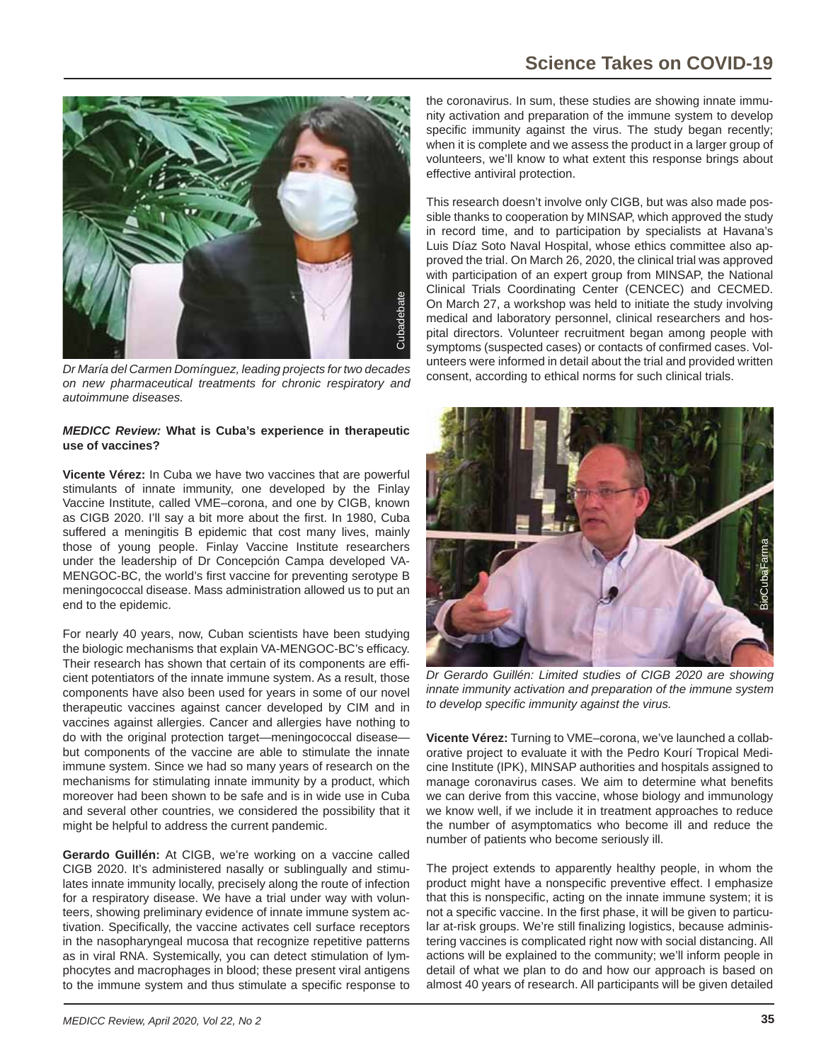

*Dr María del Carmen Domínguez, leading projects for two decades on new pharmaceutical treatments for chronic respiratory and autoimmune diseases.*

#### *MEDICC Review:* **What is Cuba's experience in therapeutic use of vaccines?**

**Vicente Vérez:** In Cuba we have two vaccines that are powerful stimulants of innate immunity, one developed by the Finlay Vaccine Institute, called VME–corona, and one by CIGB, known as CIGB 2020. I'll say a bit more about the first. In 1980, Cuba suffered a meningitis B epidemic that cost many lives, mainly those of young people. Finlay Vaccine Institute researchers under the leadership of Dr Concepción Campa developed VA-MENGOC-BC, the world's first vaccine for preventing serotype B meningococcal disease. Mass administration allowed us to put an end to the epidemic.

For nearly 40 years, now, Cuban scientists have been studying the biologic mechanisms that explain VA-MENGOC-BC's efficacy. Their research has shown that certain of its components are efficient potentiators of the innate immune system. As a result, those components have also been used for years in some of our novel therapeutic vaccines against cancer developed by CIM and in vaccines against allergies. Cancer and allergies have nothing to do with the original protection target—meningococcal disease but components of the vaccine are able to stimulate the innate immune system. Since we had so many years of research on the mechanisms for stimulating innate immunity by a product, which moreover had been shown to be safe and is in wide use in Cuba and several other countries, we considered the possibility that it might be helpful to address the current pandemic.

**Gerardo Guillén:** At CIGB, we're working on a vaccine called CIGB 2020. It's administered nasally or sublingually and stimulates innate immunity locally, precisely along the route of infection for a respiratory disease. We have a trial under way with volunteers, showing preliminary evidence of innate immune system activation. Specifically, the vaccine activates cell surface receptors in the nasopharyngeal mucosa that recognize repetitive patterns as in viral RNA. Systemically, you can detect stimulation of lymphocytes and macrophages in blood; these present viral antigens to the immune system and thus stimulate a specific response to

the coronavirus. In sum, these studies are showing innate immunity activation and preparation of the immune system to develop specific immunity against the virus. The study began recently; when it is complete and we assess the product in a larger group of volunteers, we'll know to what extent this response brings about effective antiviral protection.

This research doesn't involve only CIGB, but was also made possible thanks to cooperation by MINSAP, which approved the study in record time, and to participation by specialists at Havana's Luis Díaz Soto Naval Hospital, whose ethics committee also approved the trial. On March 26, 2020, the clinical trial was approved with participation of an expert group from MINSAP, the National Clinical Trials Coordinating Center (CENCEC) and CECMED. On March 27, a workshop was held to initiate the study involving medical and laboratory personnel, clinical researchers and hospital directors. Volunteer recruitment began among people with symptoms (suspected cases) or contacts of confirmed cases. Volunteers were informed in detail about the trial and provided written consent, according to ethical norms for such clinical trials.



*Dr Gerardo Guillén: Limited studies of CIGB 2020 are showing innate immunity activation and preparation of the immune system to develop specifi c immunity against the virus.*

**Vicente Vérez:** Turning to VME–corona, we've launched a collaborative project to evaluate it with the Pedro Kourí Tropical Medicine Institute (IPK), MINSAP authorities and hospitals assigned to manage coronavirus cases. We aim to determine what benefits we can derive from this vaccine, whose biology and immunology we know well, if we include it in treatment approaches to reduce the number of asymptomatics who become ill and reduce the number of patients who become seriously ill.

The project extends to apparently healthy people, in whom the product might have a nonspecific preventive effect. I emphasize that this is nonspecific, acting on the innate immune system; it is not a specific vaccine. In the first phase, it will be given to particular at-risk groups. We're still finalizing logistics, because administering vaccines is complicated right now with social distancing. All actions will be explained to the community; we'll inform people in detail of what we plan to do and how our approach is based on almost 40 years of research. All participants will be given detailed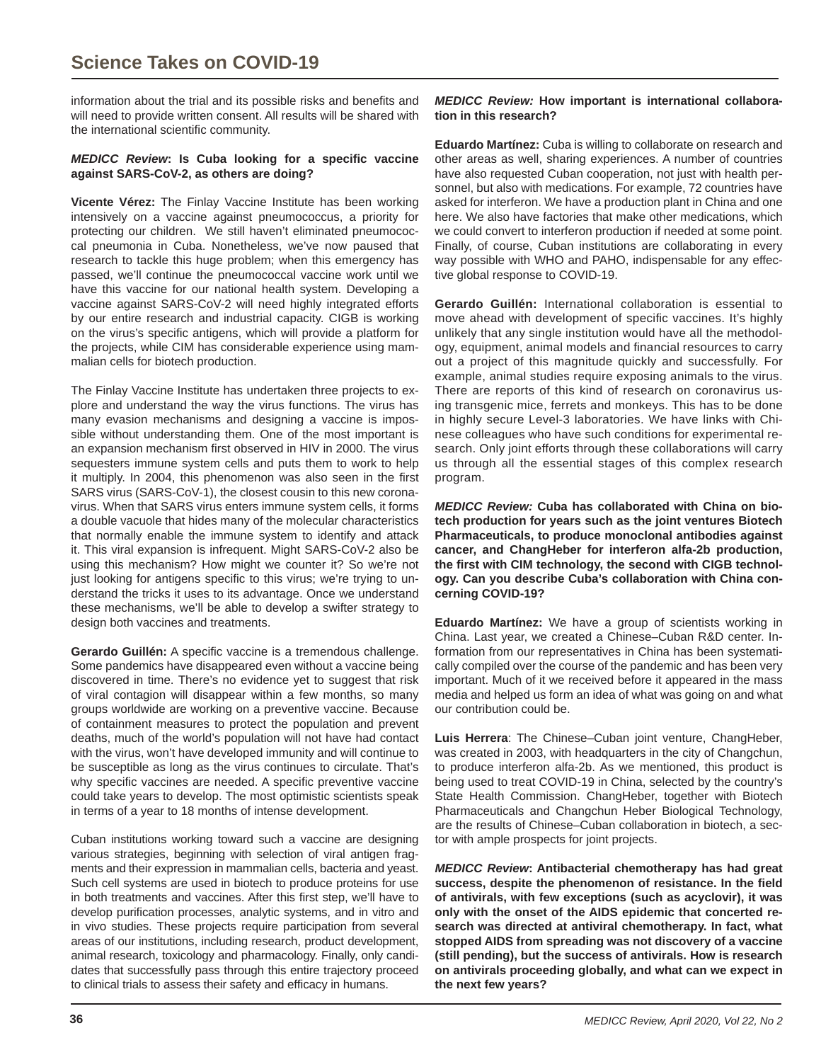information about the trial and its possible risks and benefits and will need to provide written consent. All results will be shared with the international scientific community.

#### *MEDICC Review***: Is Cuba looking for a specifi c vaccine against SARS-CoV-2, as others are doing?**

**Vicente Vérez:** The Finlay Vaccine Institute has been working intensively on a vaccine against pneumococcus, a priority for protecting our children. We still haven't eliminated pneumococcal pneumonia in Cuba. Nonetheless, we've now paused that research to tackle this huge problem; when this emergency has passed, we'll continue the pneumococcal vaccine work until we have this vaccine for our national health system. Developing a vaccine against SARS-CoV-2 will need highly integrated efforts by our entire research and industrial capacity. CIGB is working on the virus's specific antigens, which will provide a platform for the projects, while CIM has considerable experience using mammalian cells for biotech production.

The Finlay Vaccine Institute has undertaken three projects to explore and understand the way the virus functions. The virus has many evasion mechanisms and designing a vaccine is impossible without understanding them. One of the most important is an expansion mechanism first observed in HIV in 2000. The virus sequesters immune system cells and puts them to work to help it multiply. In 2004, this phenomenon was also seen in the first SARS virus (SARS-CoV-1), the closest cousin to this new coronavirus. When that SARS virus enters immune system cells, it forms a double vacuole that hides many of the molecular characteristics that normally enable the immune system to identify and attack it. This viral expansion is infrequent. Might SARS-CoV-2 also be using this mechanism? How might we counter it? So we're not just looking for antigens specific to this virus; we're trying to understand the tricks it uses to its advantage. Once we understand these mechanisms, we'll be able to develop a swifter strategy to design both vaccines and treatments.

**Gerardo Guillén:** A specific vaccine is a tremendous challenge. Some pandemics have disappeared even without a vaccine being discovered in time. There's no evidence yet to suggest that risk of viral contagion will disappear within a few months, so many groups worldwide are working on a preventive vaccine. Because of containment measures to protect the population and prevent deaths, much of the world's population will not have had contact with the virus, won't have developed immunity and will continue to be susceptible as long as the virus continues to circulate. That's why specific vaccines are needed. A specific preventive vaccine could take years to develop. The most optimistic scientists speak in terms of a year to 18 months of intense development.

Cuban institutions working toward such a vaccine are designing various strategies, beginning with selection of viral antigen fragments and their expression in mammalian cells, bacteria and yeast. Such cell systems are used in biotech to produce proteins for use in both treatments and vaccines. After this first step, we'll have to develop purification processes, analytic systems, and in vitro and in vivo studies. These projects require participation from several areas of our institutions, including research, product development, animal research, toxicology and pharmacology. Finally, only candidates that successfully pass through this entire trajectory proceed to clinical trials to assess their safety and efficacy in humans.

#### *MEDICC Review:* **How important is international collaboration in this research?**

**Eduardo Martínez:** Cuba is willing to collaborate on research and other areas as well, sharing experiences. A number of countries have also requested Cuban cooperation, not just with health personnel, but also with medications. For example, 72 countries have asked for interferon. We have a production plant in China and one here. We also have factories that make other medications, which we could convert to interferon production if needed at some point. Finally, of course, Cuban institutions are collaborating in every way possible with WHO and PAHO, indispensable for any effective global response to COVID-19.

**Gerardo Guillén:** International collaboration is essential to move ahead with development of specific vaccines. It's highly unlikely that any single institution would have all the methodology, equipment, animal models and financial resources to carry out a project of this magnitude quickly and successfully. For example, animal studies require exposing animals to the virus. There are reports of this kind of research on coronavirus using transgenic mice, ferrets and monkeys. This has to be done in highly secure Level-3 laboratories. We have links with Chinese colleagues who have such conditions for experimental research. Only joint efforts through these collaborations will carry us through all the essential stages of this complex research program.

*MEDICC Review:* **Cuba has collaborated with China on biotech production for years such as the joint ventures Biotech Pharmaceuticals, to produce monoclonal antibodies against cancer, and ChangHeber for interferon alfa-2b production,**  the first with CIM technology, the second with CIGB technol**ogy. Can you describe Cuba's collaboration with China concerning COVID-19?**

**Eduardo Martínez:** We have a group of scientists working in China. Last year, we created a Chinese–Cuban R&D center. Information from our representatives in China has been systematically compiled over the course of the pandemic and has been very important. Much of it we received before it appeared in the mass media and helped us form an idea of what was going on and what our contribution could be.

**Luis Herrera**: The Chinese–Cuban joint venture, ChangHeber, was created in 2003, with headquarters in the city of Changchun, to produce interferon alfa-2b. As we mentioned, this product is being used to treat COVID-19 in China, selected by the country's State Health Commission. ChangHeber, together with Biotech Pharmaceuticals and Changchun Heber Biological Technology, are the results of Chinese–Cuban collaboration in biotech, a sector with ample prospects for joint projects.

*MEDICC Review***: Antibacterial chemotherapy has had great**  success, despite the phenomenon of resistance. In the field **of antivirals, with few exceptions (such as acyclovir), it was only with the onset of the AIDS epidemic that concerted research was directed at antiviral chemotherapy. In fact, what stopped AIDS from spreading was not discovery of a vaccine (still pending), but the success of antivirals. How is research on antivirals proceeding globally, and what can we expect in the next few years?**